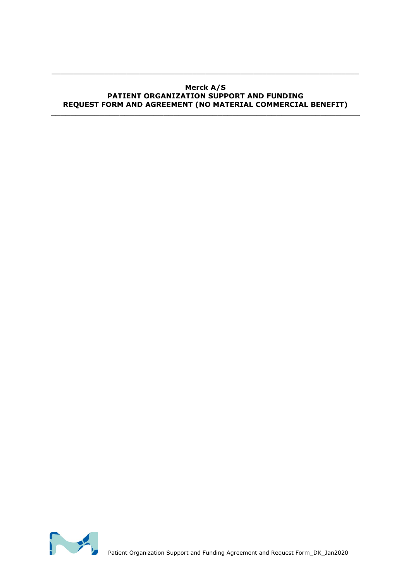#### **Merck A/S PATIENT ORGANIZATION SUPPORT AND FUNDING REQUEST FORM AND AGREEMENT (NO MATERIAL COMMERCIAL BENEFIT)**

**\_\_\_\_\_\_\_\_\_\_\_\_\_\_\_\_\_\_\_\_\_\_\_\_\_\_\_\_\_\_\_\_\_\_\_\_\_\_\_\_\_\_\_\_\_\_\_\_\_\_\_\_\_\_\_\_\_\_\_\_\_\_\_**

 $\_$  , and the set of the set of the set of the set of the set of the set of the set of the set of the set of the set of the set of the set of the set of the set of the set of the set of the set of the set of the set of th

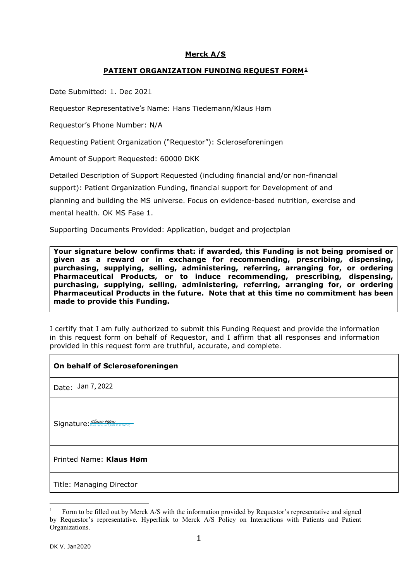#### **Merck A/S**

#### **PATIENT ORGANIZATION FUNDING REQUEST FORM[1](#page-1-0)**

Date Submitted: 1. Dec 2021

Requestor Representative's Name: Hans Tiedemann/Klaus Høm

Requestor's Phone Number: N/A

Requesting Patient Organization ("Requestor"): Scleroseforeningen

Amount of Support Requested: 60000 DKK

Detailed Description of Support Requested (including financial and/or non-financial support): Patient Organization Funding, financial support for Development of and planning and building the MS universe. Focus on evidence-based nutrition, exercise and mental health. OK MS Fase 1.

Supporting Documents Provided: Application, budget and projectplan

**Your signature below confirms that: if awarded, this Funding is not being promised or given as a reward or in exchange for recommending, prescribing, dispensing, purchasing, supplying, selling, administering, referring, arranging for, or ordering Pharmaceutical Products, or to induce recommending, prescribing, dispensing, purchasing, supplying, selling, administering, referring, arranging for, or ordering Pharmaceutical Products in the future. Note that at this time no commitment has been made to provide this Funding.**

I certify that I am fully authorized to submit this Funding Request and provide the information in this request form on behalf of Requestor, and I affirm that all responses and information provided in this request form are truthful, accurate, and complete.

|  | On behalf of Scleroseforeningen |
|--|---------------------------------|
|  |                                 |

Date: Jan 7, 2022

Signature: <u>[Klaus Høm](https://vibrantm.eu1.adobesign.com/verifier?tx=CBJCHBCAABAAdvpn1u5llk3BA8fCW29rPQS98IdCWaiy)</u>

Printed Name: **Klaus Høm**

Title: Managing Director

<span id="page-1-0"></span><sup>1</sup> Form to be filled out by Merck A/S with the information provided by Requestor's representative and signed by Requestor's representative. Hyperlink to Merck A/S Policy on Interactions with Patients and Patient Organizations.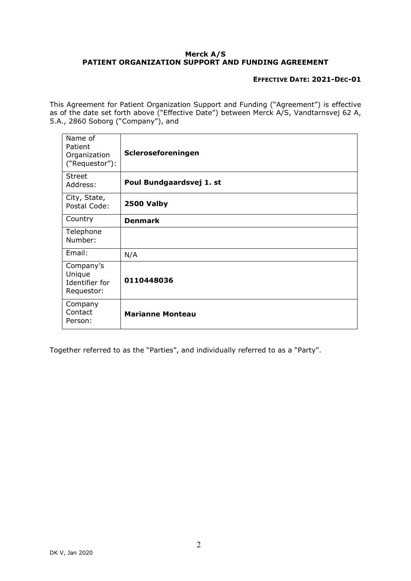#### **Merck A/S PATIENT ORGANIZATION SUPPORT AND FUNDING AGREEMENT**

#### **EFFECTIVE DATE: 2021-DEC-01**

This Agreement for Patient Organization Support and Funding ("Agreement") is effective as of the date set forth above ("Effective Date") between Merck A/S, Vandtarnsvej 62 A, 5.A., 2860 Soborg ("Company"), and

| Name of<br>Patient<br>Organization<br>("Requestor"): | Scleroseforeningen       |
|------------------------------------------------------|--------------------------|
| Street<br>Address:                                   | Poul Bundgaardsvej 1. st |
| City, State,<br>Postal Code:                         | 2500 Valby               |
| Country                                              | <b>Denmark</b>           |
| Telephone<br>Number:                                 |                          |
| Email:                                               | N/A                      |
| Company's<br>Unique<br>Identifier for<br>Requestor:  | 0110448036               |
| Company<br>Contact<br>Person:                        | <b>Marianne Monteau</b>  |

Together referred to as the "Parties", and individually referred to as a "Party".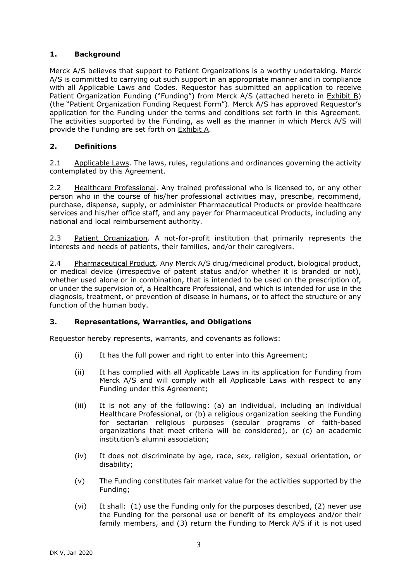## **1. Background**

Merck A/S believes that support to Patient Organizations is a worthy undertaking. Merck A/S is committed to carrying out such support in an appropriate manner and in compliance with all Applicable Laws and Codes. Requestor has submitted an application to receive Patient Organization Funding ("Funding") from Merck A/S (attached hereto in Exhibit B) (the "Patient Organization Funding Request Form"). Merck A/S has approved Requestor's application for the Funding under the terms and conditions set forth in this Agreement. The activities supported by the Funding, as well as the manner in which Merck A/S will provide the Funding are set forth on Exhibit A.

## **2. Definitions**

2.1 Applicable Laws. The laws, rules, regulations and ordinances governing the activity contemplated by this Agreement.

2.2 Healthcare Professional. Any trained professional who is licensed to, or any other person who in the course of his/her professional activities may, prescribe, recommend, purchase, dispense, supply, or administer Pharmaceutical Products or provide healthcare services and his/her office staff, and any payer for Pharmaceutical Products, including any national and local reimbursement authority.

2.3 Patient Organization. A not-for-profit institution that primarily represents the interests and needs of patients, their families, and/or their caregivers.

2.4 Pharmaceutical Product. Any Merck A/S drug/medicinal product, biological product, or medical device (irrespective of patent status and/or whether it is branded or not), whether used alone or in combination, that is intended to be used on the prescription of, or under the supervision of, a Healthcare Professional, and which is intended for use in the diagnosis, treatment, or prevention of disease in humans, or to affect the structure or any function of the human body.

#### **3. Representations, Warranties, and Obligations**

Requestor hereby represents, warrants, and covenants as follows:

- (i) It has the full power and right to enter into this Agreement;
- (ii) It has complied with all Applicable Laws in its application for Funding from Merck A/S and will comply with all Applicable Laws with respect to any Funding under this Agreement;
- (iii) It is not any of the following: (a) an individual, including an individual Healthcare Professional, or (b) a religious organization seeking the Funding for sectarian religious purposes (secular programs of faith-based organizations that meet criteria will be considered), or (c) an academic institution's alumni association;
- (iv) It does not discriminate by age, race, sex, religion, sexual orientation, or disability;
- (v) The Funding constitutes fair market value for the activities supported by the Funding;
- (vi) It shall: (1) use the Funding only for the purposes described, (2) never use the Funding for the personal use or benefit of its employees and/or their family members, and (3) return the Funding to Merck A/S if it is not used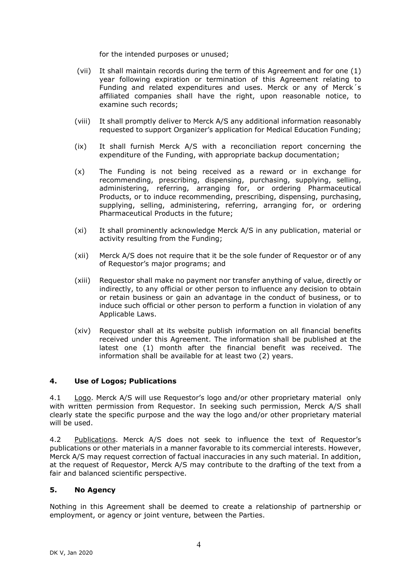for the intended purposes or unused;

- (vii) It shall maintain records during the term of this Agreement and for one (1) year following expiration or termination of this Agreement relating to Funding and related expenditures and uses. Merck or any of Merck´s affiliated companies shall have the right, upon reasonable notice, to examine such records;
- (viii) It shall promptly deliver to Merck A/S any additional information reasonably requested to support Organizer's application for Medical Education Funding;
- (ix) It shall furnish Merck A/S with a reconciliation report concerning the expenditure of the Funding, with appropriate backup documentation;
- (x) The Funding is not being received as a reward or in exchange for recommending, prescribing, dispensing, purchasing, supplying, selling, administering, referring, arranging for, or ordering Pharmaceutical Products, or to induce recommending, prescribing, dispensing, purchasing, supplying, selling, administering, referring, arranging for, or ordering Pharmaceutical Products in the future;
- (xi) It shall prominently acknowledge Merck A/S in any publication, material or activity resulting from the Funding;
- (xii) Merck A/S does not require that it be the sole funder of Requestor or of any of Requestor's major programs; and
- (xiii) Requestor shall make no payment nor transfer anything of value, directly or indirectly, to any official or other person to influence any decision to obtain or retain business or gain an advantage in the conduct of business, or to induce such official or other person to perform a function in violation of any Applicable Laws.
- (xiv) Requestor shall at its website publish information on all financial benefits received under this Agreement. The information shall be published at the latest one (1) month after the financial benefit was received. The information shall be available for at least two (2) years.

#### **4. Use of Logos; Publications**

4.1 Logo. Merck A/S will use Requestor's logo and/or other proprietary material only with written permission from Requestor. In seeking such permission, Merck A/S shall clearly state the specific purpose and the way the logo and/or other proprietary material will be used.

4.2 Publications. Merck A/S does not seek to influence the text of Requestor's publications or other materials in a manner favorable to its commercial interests. However, Merck A/S may request correction of factual inaccuracies in any such material. In addition, at the request of Requestor, Merck A/S may contribute to the drafting of the text from a fair and balanced scientific perspective.

#### **5. No Agency**

Nothing in this Agreement shall be deemed to create a relationship of partnership or employment, or agency or joint venture, between the Parties.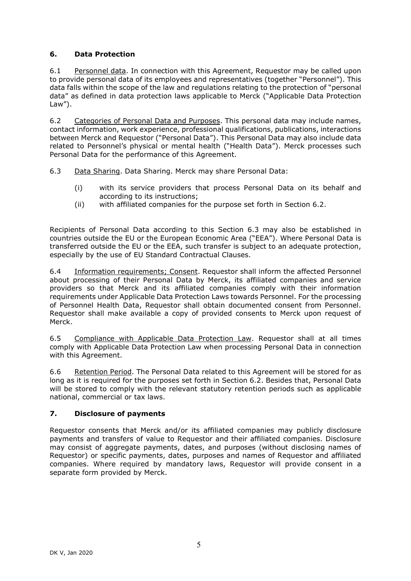# **6. Data Protection**

6.1 Personnel data. In connection with this Agreement, Requestor may be called upon to provide personal data of its employees and representatives (together "Personnel"). This data falls within the scope of the law and regulations relating to the protection of "personal data" as defined in data protection laws applicable to Merck ("Applicable Data Protection Law").

<span id="page-5-0"></span>6.2 Categories of Personal Data and Purposes. This personal data may include names, contact information, work experience, professional qualifications, publications, interactions between Merck and Requestor ("Personal Data"). This Personal Data may also include data related to Personnel's physical or mental health ("Health Data"). Merck processes such Personal Data for the performance of this Agreement.

<span id="page-5-1"></span>6.3 Data Sharing. Data Sharing. Merck may share Personal Data:

- (i) with its service providers that process Personal Data on its behalf and according to its instructions;
- (ii) with affiliated companies for the purpose set forth in Section [6.2.](#page-5-0)

Recipients of Personal Data according to this Section [6.3](#page-5-1) may also be established in countries outside the EU or the European Economic Area ("EEA"). Where Personal Data is transferred outside the EU or the EEA, such transfer is subject to an adequate protection, especially by the use of EU Standard Contractual Clauses.

6.4 Information requirements; Consent. Requestor shall inform the affected Personnel about processing of their Personal Data by Merck, its affiliated companies and service providers so that Merck and its affiliated companies comply with their information requirements under Applicable Data Protection Laws towards Personnel. For the processing of Personnel Health Data, Requestor shall obtain documented consent from Personnel. Requestor shall make available a copy of provided consents to Merck upon request of Merck.

6.5 Compliance with Applicable Data Protection Law. Requestor shall at all times comply with Applicable Data Protection Law when processing Personal Data in connection with this Agreement.

6.6 Retention Period. The Personal Data related to this Agreement will be stored for as long as it is required for the purposes set forth in Section [6.2.](#page-5-0) Besides that, Personal Data will be stored to comply with the relevant statutory retention periods such as applicable national, commercial or tax laws.

#### **7. Disclosure of payments**

Requestor consents that Merck and/or its affiliated companies may publicly disclosure payments and transfers of value to Requestor and their affiliated companies. Disclosure may consist of aggregate payments, dates, and purposes (without disclosing names of Requestor) or specific payments, dates, purposes and names of Requestor and affiliated companies. Where required by mandatory laws, Requestor will provide consent in a separate form provided by Merck.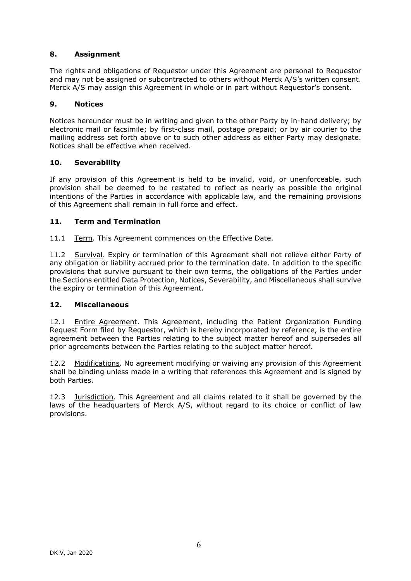## **8. Assignment**

The rights and obligations of Requestor under this Agreement are personal to Requestor and may not be assigned or subcontracted to others without Merck A/S's written consent. Merck A/S may assign this Agreement in whole or in part without Requestor's consent.

#### **9. Notices**

Notices hereunder must be in writing and given to the other Party by in-hand delivery; by electronic mail or facsimile; by first-class mail, postage prepaid; or by air courier to the mailing address set forth above or to such other address as either Party may designate. Notices shall be effective when received.

#### **10. Severability**

If any provision of this Agreement is held to be invalid, void, or unenforceable, such provision shall be deemed to be restated to reflect as nearly as possible the original intentions of the Parties in accordance with applicable law, and the remaining provisions of this Agreement shall remain in full force and effect.

## **11. Term and Termination**

11.1 Term. This Agreement commences on the Effective Date.

11.2 Survival. Expiry or termination of this Agreement shall not relieve either Party of any obligation or liability accrued prior to the termination date. In addition to the specific provisions that survive pursuant to their own terms, the obligations of the Parties under the Sections entitled Data Protection, Notices, Severability, and Miscellaneous shall survive the expiry or termination of this Agreement.

#### **12. Miscellaneous**

12.1 Entire Agreement. This Agreement, including the Patient Organization Funding Request Form filed by Requestor, which is hereby incorporated by reference, is the entire agreement between the Parties relating to the subject matter hereof and supersedes all prior agreements between the Parties relating to the subject matter hereof.

12.2 Modifications. No agreement modifying or waiving any provision of this Agreement shall be binding unless made in a writing that references this Agreement and is signed by both Parties.

12.3 Jurisdiction. This Agreement and all claims related to it shall be governed by the laws of the headquarters of Merck A/S, without regard to its choice or conflict of law provisions.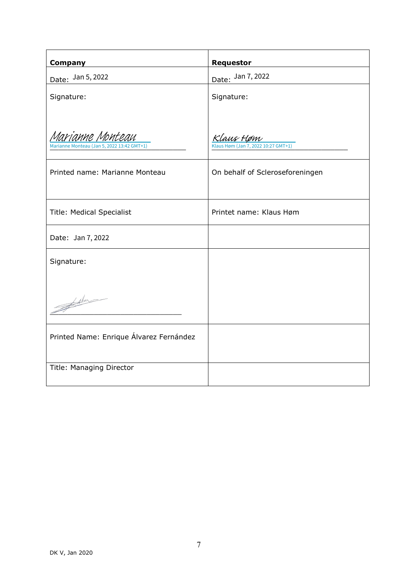| <b>Company</b>                                                 | <b>Requestor</b>                                 |
|----------------------------------------------------------------|--------------------------------------------------|
| Date: Jan 5, 2022                                              | Date: Jan 7, 2022                                |
| Signature:                                                     | Signature:                                       |
| Iarianne Monteau<br>Marianne Monteau (Jan 5, 2022 13:42 GMT+1) | Klaus Høm<br>Klaus Høm (Jan 7, 2022 10:27 GMT+1) |
| Printed name: Marianne Monteau                                 | On behalf of Scleroseforeningen                  |
| <b>Title: Medical Specialist</b>                               | Printet name: Klaus Høm                          |
| Date: Jan 7, 2022                                              |                                                  |
| Signature:                                                     |                                                  |
| Alver -                                                        |                                                  |
| Printed Name: Enrique Álvarez Fernández                        |                                                  |
| Title: Managing Director                                       |                                                  |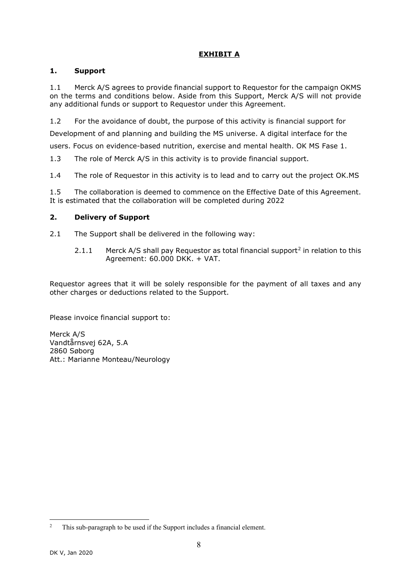# **EXHIBIT A**

#### **1. Support**

1.1 Merck A/S agrees to provide financial support to Requestor for the campaign OKMS on the terms and conditions below. Aside from this Support, Merck A/S will not provide any additional funds or support to Requestor under this Agreement.

1.2 For the avoidance of doubt, the purpose of this activity is financial support for

Development of and planning and building the MS universe. A digital interface for the

users. Focus on evidence-based nutrition, exercise and mental health. OK MS Fase 1.

1.3 The role of Merck A/S in this activity is to provide financial support.

1.4 The role of Requestor in this activity is to lead and to carry out the project OK.MS

1.5 The collaboration is deemed to commence on the Effective Date of this Agreement. It is estimated that the collaboration will be completed during 2022

## **2. Delivery of Support**

2.1 The Support shall be delivered in the following way:

[2](#page-8-0).1.1 Merck A/S shall pay Requestor as total financial support<sup>2</sup> in relation to this Agreement: 60.000 DKK. + VAT.

Requestor agrees that it will be solely responsible for the payment of all taxes and any other charges or deductions related to the Support.

Please invoice financial support to:

Merck A/S Vandtårnsvej 62A, 5.A 2860 Søborg Att.: Marianne Monteau/Neurology

<span id="page-8-0"></span><sup>&</sup>lt;sup>2</sup> This sub-paragraph to be used if the Support includes a financial element.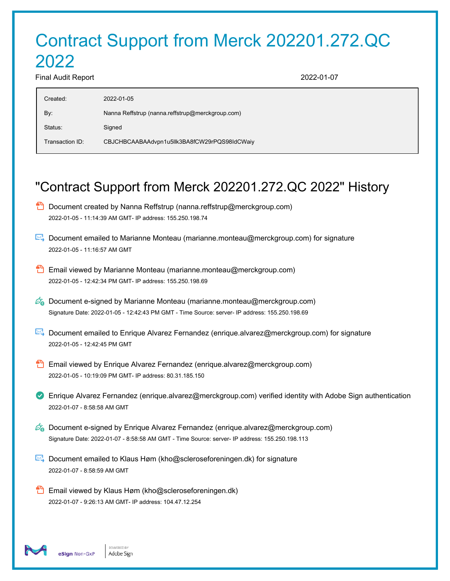# Contract Support from Merck 202201.272.QC 2022

Final Audit Report 2022-01-07

| Created:        | 2022-01-05                                       |
|-----------------|--------------------------------------------------|
| By:             | Nanna Reffstrup (nanna.reffstrup@merckgroup.com) |
| Status:         | Signed                                           |
| Transaction ID: | CBJCHBCAABAAdvpn1u5llk3BA8fCW29rPQS98IdCWaiy     |
|                 |                                                  |

# "Contract Support from Merck 202201.272.QC 2022" History

- $\Box$  Document created by Nanna Reffstrup (nanna.reffstrup@merckgroup.com) 2022-01-05 - 11:14:39 AM GMT- IP address: 155.250.198.74
- Document emailed to Marianne Monteau (marianne.monteau@merckgroup.com) for signature 2022-01-05 - 11:16:57 AM GMT
- **Email viewed by Marianne Monteau (marianne.monteau@merckgroup.com)** 2022-01-05 - 12:42:34 PM GMT- IP address: 155.250.198.69
- $\mathscr{O}_\bullet$  Document e-signed by Marianne Monteau (marianne.monteau@merckgroup.com) Signature Date: 2022-01-05 - 12:42:43 PM GMT - Time Source: server- IP address: 155.250.198.69
- Document emailed to Enrique Alvarez Fernandez (enrique.alvarez@merckgroup.com) for signature 2022-01-05 - 12:42:45 PM GMT
- **Email viewed by Enrique Alvarez Fernandez (enrique.alvarez@merckgroup.com)** 2022-01-05 - 10:19:09 PM GMT- IP address: 80.31.185.150
- **C** Enrique Alvarez Fernandez (enrique.alvarez@merckgroup.com) verified identity with Adobe Sign authentication 2022-01-07 - 8:58:58 AM GMT
- $\mathscr{O}_\bullet$  Document e-signed by Enrique Alvarez Fernandez (enrique.alvarez@merckgroup.com) Signature Date: 2022-01-07 - 8:58:58 AM GMT - Time Source: server- IP address: 155.250.198.113
- Document emailed to Klaus Høm (kho@scleroseforeningen.dk) for signature 2022-01-07 - 8:58:59 AM GMT
- **Email viewed by Klaus Høm (kho@scleroseforeningen.dk)** 2022-01-07 - 9:26:13 AM GMT- IP address: 104.47.12.254